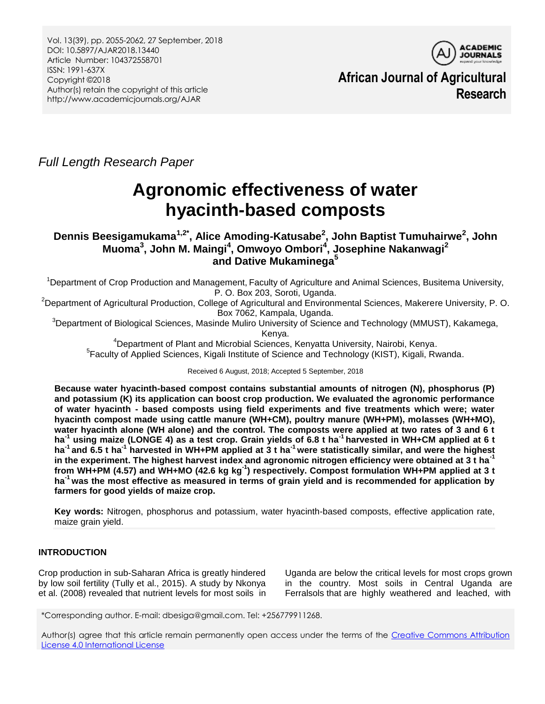Vol. 13(39), pp. 2055-2062, 27 September, 2018 DOI: 10.5897/AJAR2018.13440 Article Number: 104372558701 ISSN: 1991-637X Copyright ©2018 Author(s) retain the copyright of this article http://www.academicjournals.org/AJAR



**African Journal of Agricultural Research**

*Full Length Research Paper*

# **Agronomic effectiveness of water hyacinth-based composts**

**Dennis Beesigamukama1,2\*, Alice Amoding-Katusabe<sup>2</sup> , John Baptist Tumuhairwe<sup>2</sup> , John Muoma<sup>3</sup> , John M. Maingi<sup>4</sup> , Omwoyo Ombori<sup>4</sup> , Josephine Nakanwagi<sup>2</sup> and Dative Mukaminega<sup>5</sup>**

<sup>1</sup>Department of Crop Production and Management, Faculty of Agriculture and Animal Sciences, Busitema University, P. O. Box 203, Soroti, Uganda.

<sup>2</sup>Department of Agricultural Production, College of Agricultural and Environmental Sciences, Makerere University, P.O. Box 7062, Kampala, Uganda.

 ${}^{3}$ Department of Biological Sciences, Masinde Muliro University of Science and Technology (MMUST), Kakamega, Kenya.

<sup>4</sup>Department of Plant and Microbial Sciences, Kenyatta University, Nairobi, Kenya. <sup>5</sup> Faculty of Applied Sciences, Kigali Institute of Science and Technology (KIST), Kigali, Rwanda.

Received 6 August, 2018; Accepted 5 September, 2018

**Because water hyacinth-based compost contains substantial amounts of nitrogen (N), phosphorus (P) and potassium (K) its application can boost crop production. We evaluated the agronomic performance of water hyacinth - based composts using field experiments and five treatments which were; water hyacinth compost made using cattle manure (WH+CM), poultry manure (WH+PM), molasses (WH+MO), water hyacinth alone (WH alone) and the control. The composts were applied at two rates of 3 and 6 t ha-1 using maize (LONGE 4) as a test crop. Grain yields of 6.8 t ha-1 harvested in WH+CM applied at 6 t**  ha<sup>-1</sup> and 6.5 t ha<sup>-1</sup> harvested in WH+PM applied at 3 t ha<sup>-1</sup> were statistically similar, and were the highest **in the experiment. The highest harvest index and agronomic nitrogen efficiency were obtained at 3 t ha-1 from WH+PM (4.57) and WH+MO (42.6 kg kg-1 ) respectively. Compost formulation WH+PM applied at 3 t ha-1 was the most effective as measured in terms of grain yield and is recommended for application by farmers for good yields of maize crop.** 

**Key words:** Nitrogen, phosphorus and potassium, water hyacinth-based composts, effective application rate, maize grain yield.

# **INTRODUCTION**

Crop production in sub-Saharan Africa is greatly hindered by low soil fertility (Tully et al., 2015). A study by Nkonya et al. (2008) revealed that nutrient levels for most soils in Uganda are below the critical levels for most crops grown in the country. Most soils in Central Uganda are Ferralsols that are highly weathered and leached, with

\*Corresponding author. E-mail: dbesiga@gmail.com. Tel: +256779911268.

Author(s) agree that this article remain permanently open access under the terms of the Creative Commons Attribution [License 4.0 International License](http://creativecommons.org/licenses/by/4.0/deed.en_US)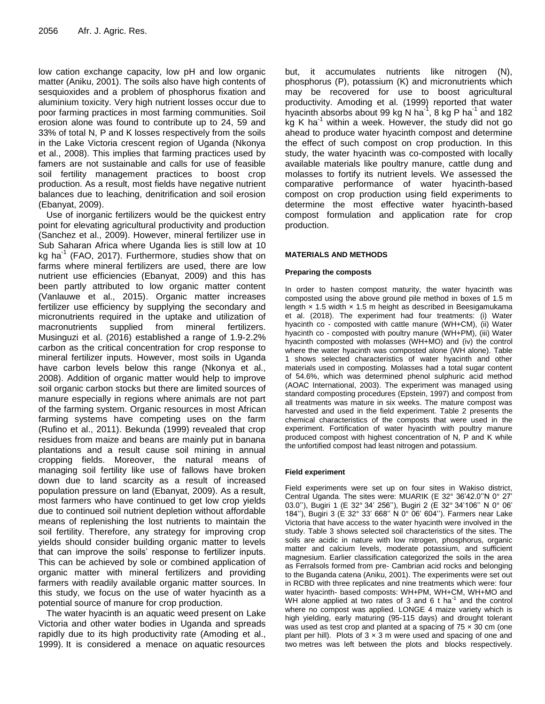low cation exchange capacity, low pH and low organic matter (Aniku, 2001). The soils also have high contents of sesquioxides and a problem of phosphorus fixation and aluminium toxicity. Very high nutrient losses occur due to poor farming practices in most farming communities. Soil erosion alone was found to contribute up to 24, 59 and 33% of total N, P and K losses respectively from the soils in the Lake Victoria crescent region of Uganda (Nkonya et al., 2008). This implies that farming practices used by famers are not sustainable and calls for use of feasible soil fertility management practices to boost crop production. As a result, most fields have negative nutrient balances due to leaching, denitrification and soil erosion (Ebanyat, 2009).

Use of inorganic fertilizers would be the quickest entry point for elevating agricultural productivity and production (Sanchez et al., 2009). However, mineral fertilizer use in Sub Saharan Africa where Uganda lies is still low at 10 kg ha<sup>-1</sup> (FAO, 2017). Furthermore, studies show that on farms where mineral fertilizers are used, there are low nutrient use efficiencies (Ebanyat, 2009) and this has been partly attributed to low organic matter content (Vanlauwe et al., 2015). Organic matter increases fertilizer use efficiency by supplying the secondary and micronutrients required in the uptake and utilization of macronutrients supplied from mineral fertilizers. Musinguzi et al. (2016) established a range of 1.9-2.2% carbon as the critical concentration for crop response to mineral fertilizer inputs. However, most soils in Uganda have carbon levels below this range (Nkonya et al., 2008). Addition of organic matter would help to improve soil organic carbon stocks but there are limited sources of manure especially in regions where animals are not part of the farming system. Organic resources in most African farming systems have competing uses on the farm (Rufino et al., 2011). Bekunda (1999) revealed that crop residues from maize and beans are mainly put in banana plantations and a result cause soil mining in annual cropping fields. Moreover, the natural means of managing soil fertility like use of fallows have broken down due to land scarcity as a result of increased population pressure on land (Ebanyat, 2009). As a result, most farmers who have continued to get low crop yields due to continued soil nutrient depletion without affordable means of replenishing the lost nutrients to maintain the soil fertility. Therefore, any strategy for improving crop yields should consider building organic matter to levels that can improve the soils' response to fertilizer inputs. This can be achieved by sole or combined application of organic matter with mineral fertilizers and providing farmers with readily available organic matter sources. In this study, we focus on the use of water hyacinth as a potential source of manure for crop production.

The water hyacinth is an aquatic weed present on Lake Victoria and other water bodies in Uganda and spreads rapidly due to its high productivity rate (Amoding et al., 1999). It is considered a menace on aquatic resources but, it accumulates nutrients like nitrogen (N), phosphorus (P), potassium (K) and micronutrients which may be recovered for use to boost agricultural productivity. Amoding et al. (1999) reported that water hyacinth absorbs about 99 kg N ha<sup>-1</sup>, 8 kg P ha<sup>-1</sup> and 182 kg K ha $^{-1}$  within a week. However, the study did not go ahead to produce water hyacinth compost and determine the effect of such compost on crop production. In this study, the water hyacinth was co-composted with locally available materials like poultry manure, cattle dung and molasses to fortify its nutrient levels. We assessed the comparative performance of water hyacinth-based compost on crop production using field experiments to determine the most effective water hyacinth-based compost formulation and application rate for crop production.

## **MATERIALS AND METHODS**

#### **Preparing the composts**

In order to hasten compost maturity, the water hyacinth was composted using the above ground pile method in boxes of 1.5 m length  $\times$  1.5 width  $\times$  1.5 m height as described in Beesigamukama et al. (2018). The experiment had four treatments: (i) Water hyacinth co - composted with cattle manure (WH+CM), (ii) Water hyacinth co - composted with poultry manure (WH+PM), (iii) Water hyacinth composted with molasses (WH+MO) and (iv) the control where the water hyacinth was composted alone (WH alone). Table 1 shows selected characteristics of water hyacinth and other materials used in composting. Molasses had a total sugar content of 54.6%, which was determined phenol sulphuric acid method (AOAC International, 2003). The experiment was managed using standard composting procedures (Epstein, 1997) and compost from all treatments was mature in six weeks. The mature compost was harvested and used in the field experiment. Table 2 presents the chemical characteristics of the composts that were used in the experiment. Fortification of water hyacinth with poultry manure produced compost with highest concentration of N, P and K while the unfortified compost had least nitrogen and potassium.

## **Field experiment**

Field experiments were set up on four sites in Wakiso district, Central Uganda. The sites were: MUARIK (E 32° 36'42.0''N 0° 27' 03.0''), Bugiri 1 (E 32° 34' 256''), Bugiri 2 (E 32° 34'106'' N 0° 06' 184''), Bugiri 3 (E 32° 33' 668'' N 0° 06' 604''). Farmers near Lake Victoria that have access to the water hyacinth were involved in the study. Table 3 shows selected soil characteristics of the sites. The soils are acidic in nature with low nitrogen, phosphorus, organic matter and calcium levels, moderate potassium, and sufficient magnesium. Earlier classification categorized the soils in the area as Ferralsols formed from pre- Cambrian acid rocks and belonging to the Buganda catena (Aniku, 2001). The experiments were set out in RCBD with three replicates and nine treatments which were: four water hyacinth- based composts: WH+PM, WH+CM, WH+MO and WH alone applied at two rates of 3 and 6  $t$  ha<sup>-1</sup> and the control where no compost was applied. LONGE 4 maize variety which is high yielding, early maturing (95-115 days) and drought tolerant was used as test crop and planted at a spacing of  $75 \times 30$  cm (one plant per hill). Plots of  $3 \times 3$  m were used and spacing of one and two metres was left between the plots and blocks respectively.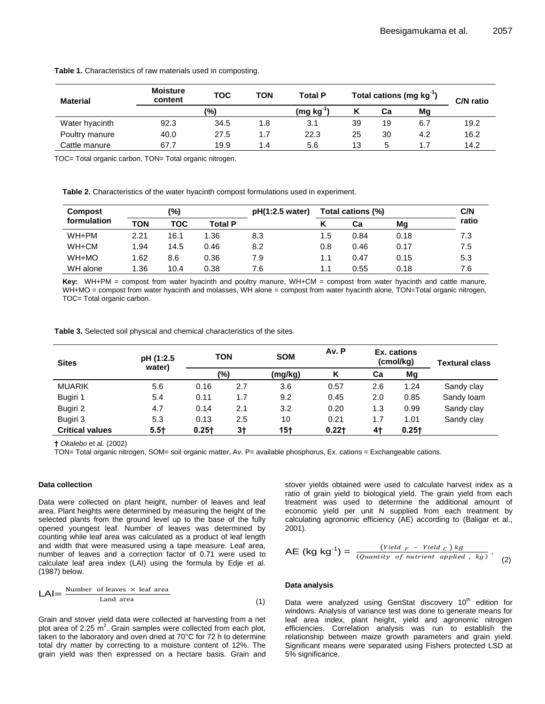| <b>Material</b> | <b>Moisture</b><br>content | <b>TOC</b>    | ΤΟΝ | <b>Total P</b> | Total cations (mg kg <sup>-1</sup> ) |    | C/N ratio |      |
|-----------------|----------------------------|---------------|-----|----------------|--------------------------------------|----|-----------|------|
|                 |                            | $\frac{9}{6}$ |     | $(mg kg-1)$    |                                      | Сa | Mg        |      |
| Water hyacinth  | 92.3                       | 34.5          | 1.8 | 3.1            | 39                                   | 19 | 6.7       | 19.2 |
| Poultry manure  | 40.0                       | 27.5          | 1.7 | 22.3           | 25                                   | 30 | 4.2       | 16.2 |
| Cattle manure   | 67.7                       | 19.9          | 1.4 | 5.6            | 13                                   | 5  |           | 14.2 |

**Table 1.** Characteristics of raw materials used in composting.

TOC= Total organic carbon, TON= Total organic nitrogen.

**Table 2.** Characteristics of the water hyacinth compost formulations used in experiment.

| <b>Compost</b> |      | (%)  |                | Total cations (%)<br>pH(1:2.5 water) |     |      | C/N  |       |
|----------------|------|------|----------------|--------------------------------------|-----|------|------|-------|
| formulation    | ΤΟΝ  | TOC  | <b>Total P</b> |                                      |     | Сa   | Mq   | ratio |
| WH+PM          | 2.21 | 16.1 | 1.36           | 8.3                                  | 1.5 | 0.84 | 0.18 | 7.3   |
| WH+CM          | 1.94 | 14.5 | 0.46           | 8.2                                  | 0.8 | 0.46 | 0.17 | 7.5   |
| WH+MO          | 1.62 | 8.6  | 0.36           | 7.9                                  | 1.1 | 0.47 | 0.15 | 5.3   |
| WH alone       | 1.36 | 10.4 | 0.38           | 7.6                                  | 1.1 | 0.55 | 0.18 | 7.6   |

**Key:** WH+PM = compost from water hyacinth and poultry manure, WH+CM = compost from water hyacinth and cattle manure, WH+MO = compost from water hyacinth and molasses, WH alone = compost from water hyacinth alone, TON=Total organic nitrogen, TOC= Total organic carbon.

**Table 3.** Selected soil physical and chemical characteristics of the sites.

| <b>Sites</b>           | pH (1:2.5<br>water) | TON      |      | <b>SOM</b> | Av. P    |     | Ex. cations<br>(cmol/kg) | <b>Textural class</b> |
|------------------------|---------------------|----------|------|------------|----------|-----|--------------------------|-----------------------|
|                        |                     | (%)      |      | (mg/kg)    | κ        | Ca  | Mg                       |                       |
| <b>MUARIK</b>          | 5.6                 | 0.16     | 2.7  | 3.6        | 0.57     | 2.6 | 1.24                     | Sandy clay            |
| Bugiri 1               | 5.4                 | 0.11     | 1.7  | 9.2        | 0.45     | 2.0 | 0.85                     | Sandy loam            |
| Bugiri 2               | 4.7                 | 0.14     | 2.1  | 3.2        | 0.20     | 1.3 | 0.99                     | Sandy clay            |
| Bugiri 3               | 5.3                 | 0.13     | 2.5  | 10         | 0.21     | 1.7 | 1.01                     | Sandy clay            |
| <b>Critical values</b> | $5.5+$              | $0.25 +$ | $3+$ | $15+$      | $0.22 +$ | 4†  | $0.25+$                  |                       |

**†** *Okalebo* et al*.* (2002)

TON= Total organic nitrogen, SOM= soil organic matter, Av. P= available phosphorus, Ex. cations = Exchangeable cations.

#### **Data collection**

Data were collected on plant height, number of leaves and leaf area. Plant heights were determined by measuring the height of the selected plants from the ground level up to the base of the fully opened youngest leaf. Number of leaves was determined by counting while leaf area was calculated as a product of leaf length and width that were measured using a tape measure. Leaf area, number of leaves and a correction factor of 0.71 were used to calculate leaf area index (LAI) using the formula by Edje et al*.* (1987) below. a tape measure. Lear area,<br>actor of 0.71 were used to  $AE (kg kg<sup>-1</sup>)$ <br>the formula by Edje et al.<br>**Data analysis** 

$$
LAI = \frac{\text{Number of leaves} \times \text{leaf area}}{\text{Land area}} \tag{1}
$$

Grain and stover yield data were collected at harvesting from a net plot area of 2.25  $\text{m}^2$ . Grain samples were collected from each plot, taken to the laboratory and oven dried at 70°C for 72 h to determine total dry matter by correcting to a moisture content of 12%. The grain yield was then expressed on a hectare basis. Grain and  $\text{LAI} = \frac{\text{Number of leaves} \times \text{ leaf area}}{\text{Land area}}$  (1) Data were ana<br>Grain and stover yield data were collected at harvesting from a net<br>plot area of 2.25 m<sup>2</sup>. Grain samples were collected from each plot, efficiencies. Co<br>taken to the lab

stover yields obtained were used to calculate harvest index as a ratio of grain yield to biological yield. The grain yield from each treatment was used to determine the additional amount of economic yield per unit N supplied from each treatment by calculating agronomic efficiency (AE) according to (Baligar et al., 2001).

$$
\mathsf{AE} \, (\mathsf{kg} \, \mathsf{kg}^{-1}) = \frac{(\mathit{Yield} \, F - \mathit{Yield} \, c) \, \mathit{kg}}{(\mathit{Quantity} \, \, of \, \mathit{nutrient} \, \, applied \, , \, \mathit{kg})} \, . \tag{2}
$$

## **Data analysis**

Data were analyzed using GenStat discovery  $10<sup>th</sup>$  edition for windows. Analysis of variance test was done to generate means for leaf area index, plant height, yield and agronomic nitrogen efficiencies. Correlation analysis was run to establish the relationship between maize growth parameters and grain yield. Significant means were separated using Fishers protected LSD at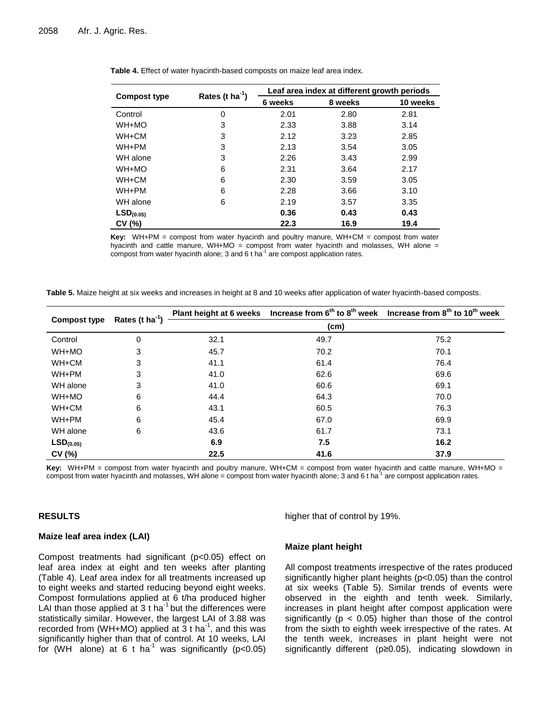|                       |                      | Leaf area index at different growth periods |         |          |  |
|-----------------------|----------------------|---------------------------------------------|---------|----------|--|
| <b>Compost type</b>   | Rates (t $ha^{-1}$ ) | 6 weeks                                     | 8 weeks | 10 weeks |  |
| Control               | 0                    | 2.01                                        | 2.80    | 2.81     |  |
| WH+MO                 | 3                    | 2.33                                        | 3.88    | 3.14     |  |
| WH+CM                 | 3                    | 2.12                                        | 3.23    | 2.85     |  |
| WH+PM                 | 3                    | 2.13                                        | 3.54    | 3.05     |  |
| WH alone              | 3                    | 2.26                                        | 3.43    | 2.99     |  |
| WH+MO                 | 6                    | 2.31                                        | 3.64    | 2.17     |  |
| WH+CM                 | 6                    | 2.30                                        | 3.59    | 3.05     |  |
| WH+PM                 | 6                    | 2.28                                        | 3.66    | 3.10     |  |
| WH alone              | 6                    | 2.19                                        | 3.57    | 3.35     |  |
| LSD <sub>(0.05)</sub> |                      | 0.36                                        | 0.43    | 0.43     |  |
| CV (%)                |                      | 22.3                                        | 16.9    | 19.4     |  |

**Table 4.** Effect of water hyacinth-based composts on maize leaf area index.

**Key:** WH+PM = compost from water hyacinth and poultry manure, WH+CM = compost from water hyacinth and cattle manure, WH+MO = compost from water hyacinth and molasses, WH alone = compost from water hyacinth alone; 3 and 6 t ha $^{-1}$  are compost application rates.

| Table 5. Maize height at six weeks and increases in height at 8 and 10 weeks after application of water hyacinth-based composts. |  |  |  |  |
|----------------------------------------------------------------------------------------------------------------------------------|--|--|--|--|
|----------------------------------------------------------------------------------------------------------------------------------|--|--|--|--|

| <b>Compost type</b>   | Rates (t $ha^{-1}$ ) |      |                   | Plant height at 6 weeks Increase from $6^{th}$ to $8^{th}$ week Increase from $8^{th}$ to $10^{th}$ week |
|-----------------------|----------------------|------|-------------------|----------------------------------------------------------------------------------------------------------|
|                       |                      |      | (c <sub>m</sub> ) |                                                                                                          |
| Control               | 0                    | 32.1 | 49.7              | 75.2                                                                                                     |
| WH+MO                 | 3                    | 45.7 | 70.2              | 70.1                                                                                                     |
| WH+CM                 | 3                    | 41.1 | 61.4              | 76.4                                                                                                     |
| WH+PM                 | 3                    | 41.0 | 62.6              | 69.6                                                                                                     |
| WH alone              | 3                    | 41.0 | 60.6              | 69.1                                                                                                     |
| WH+MO                 | 6                    | 44.4 | 64.3              | 70.0                                                                                                     |
| WH+CM                 | 6                    | 43.1 | 60.5              | 76.3                                                                                                     |
| WH+PM                 | 6                    | 45.4 | 67.0              | 69.9                                                                                                     |
| WH alone              | 6                    | 43.6 | 61.7              | 73.1                                                                                                     |
| LSD <sub>(0.05)</sub> |                      | 6.9  | 7.5               | 16.2                                                                                                     |
| CV (%)                |                      | 22.5 | 41.6              | 37.9                                                                                                     |

**Key:** WH+PM = compost from water hyacinth and poultry manure, WH+CM = compost from water hyacinth and cattle manure, WH+MO = compost from water hyacinth and molasses, WH alone = compost from water hyacinth alone; 3 and 6 t ha<sup>-1</sup> are compost application rates.

#### **RESULTS**

#### **Maize leaf area index (LAI)**

Compost treatments had significant (p<0.05) effect on leaf area index at eight and ten weeks after planting (Table 4). Leaf area index for all treatments increased up to eight weeks and started reducing beyond eight weeks. Compost formulations applied at 6 t/ha produced higher LAI than those applied at  $3$  t ha<sup>-1</sup> but the differences were statistically similar. However, the largest LAI of 3.88 was recorded from (WH+MO) applied at  $\overline{3}$  t ha<sup>-1</sup>, and this was significantly higher than that of control. At 10 weeks, LAI for (WH alone) at 6 t ha<sup>-1</sup> was significantly ( $p < 0.05$ )

higher that of control by 19%.

#### **Maize plant height**

All compost treatments irrespective of the rates produced significantly higher plant heights (p<0.05) than the control at six weeks (Table 5). Similar trends of events were observed in the eighth and tenth week. Similarly, increases in plant height after compost application were significantly ( $p < 0.05$ ) higher than those of the control from the sixth to eighth week irrespective of the rates. At the tenth week, increases in plant height were not significantly different (p≥0.05), indicating slowdown in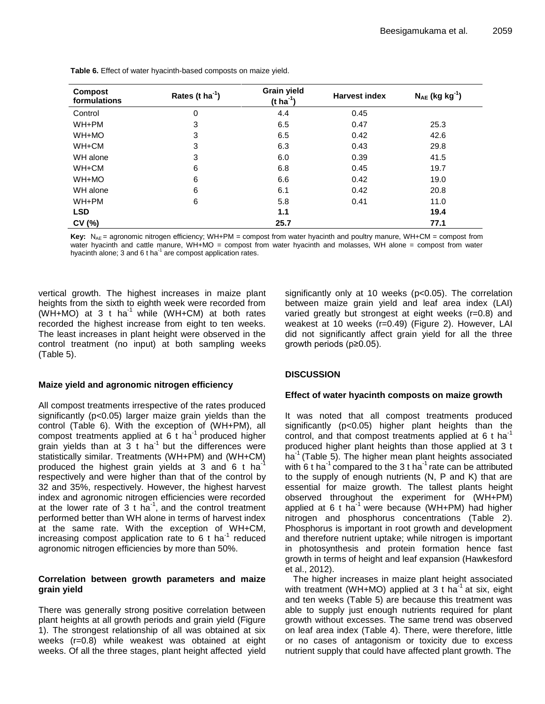| <b>Compost</b><br>formulations | Rates (t $ha^{-1}$ ) | <b>Grain yield</b><br>(t ha <sup>-1</sup> ) | <b>Harvest index</b> | $N_{AE}$ (kg kg <sup>-1</sup> ) |
|--------------------------------|----------------------|---------------------------------------------|----------------------|---------------------------------|
| Control                        | 0                    | 4.4                                         | 0.45                 |                                 |
| WH+PM                          | 3                    | 6.5                                         | 0.47                 | 25.3                            |
| WH+MO                          | 3                    | 6.5                                         | 0.42                 | 42.6                            |
| WH+CM                          | 3                    | 6.3                                         | 0.43                 | 29.8                            |
| WH alone                       | 3                    | 6.0                                         | 0.39                 | 41.5                            |
| WH+CM                          | 6                    | 6.8                                         | 0.45                 | 19.7                            |
| WH+MO                          | 6                    | 6.6                                         | 0.42                 | 19.0                            |
| WH alone                       | 6                    | 6.1                                         | 0.42                 | 20.8                            |
| WH+PM                          | 6                    | 5.8                                         | 0.41                 | 11.0                            |
| <b>LSD</b>                     |                      | 1.1                                         |                      | 19.4                            |
| CV(%)                          |                      | 25.7                                        |                      | 77.1                            |

**Table 6.** Effect of water hyacinth-based composts on maize yield.

**Key:** N<sub>AE</sub> = agronomic nitrogen efficiency; WH+PM = compost from water hyacinth and poultry manure, WH+CM = compost from water hyacinth and cattle manure, WH+MO = compost from water hyacinth and molasses, WH alone = compost from water hyacinth alone; 3 and 6 t ha<sup>-1</sup> are compost application rates.

vertical growth. The highest increases in maize plant heights from the sixth to eighth week were recorded from (WH+MO) at 3 t ha<sup>-1</sup> while (WH+CM) at both rates recorded the highest increase from eight to ten weeks. The least increases in plant height were observed in the control treatment (no input) at both sampling weeks (Table 5).

# **Maize yield and agronomic nitrogen efficiency**

All compost treatments irrespective of the rates produced significantly (p<0.05) larger maize grain yields than the control (Table 6). With the exception of (WH+PM), all compost treatments applied at 6 t ha<sup>-1</sup> produced higher grain yields than at  $3$  t ha<sup>-1</sup> but the differences were statistically similar. Treatments (WH+PM) and (WH+CM) produced the highest grain yields at 3 and 6 t ha respectively and were higher than that of the control by 32 and 35%, respectively. However, the highest harvest index and agronomic nitrogen efficiencies were recorded at the lower rate of 3 t  $ha^{-1}$ , and the control treatment performed better than WH alone in terms of harvest index at the same rate. With the exception of WH+CM, increasing compost application rate to  $6$  t ha<sup>-1</sup> reduced agronomic nitrogen efficiencies by more than 50%.

# **Correlation between growth parameters and maize grain yield**

There was generally strong positive correlation between plant heights at all growth periods and grain yield (Figure 1). The strongest relationship of all was obtained at six weeks (r=0.8) while weakest was obtained at eight weeks. Of all the three stages, plant height affected yield

significantly only at 10 weeks (p<0.05). The correlation between maize grain yield and leaf area index (LAI) varied greatly but strongest at eight weeks (r=0.8) and weakest at 10 weeks (r=0.49) (Figure 2). However, LAI did not significantly affect grain yield for all the three growth periods (p≥0.05).

# **DISCUSSION**

# **Effect of water hyacinth composts on maize growth**

It was noted that all compost treatments produced significantly (p<0.05) higher plant heights than the control, and that compost treatments applied at  $6$  t ha<sup>-1</sup> produced higher plant heights than those applied at 3 t ha $^{-1}$  (Table 5). The higher mean plant heights associated with 6 t ha<sup>-1</sup> compared to the 3 t ha<sup> $-1$ </sup> rate can be attributed to the supply of enough nutrients (N, P and K) that are essential for maize growth. The tallest plants height observed throughout the experiment for (WH+PM) applied at 6 t ha<sup>-1</sup> were because (WH+PM) had higher nitrogen and phosphorus concentrations (Table 2). Phosphorus is important in root growth and development and therefore nutrient uptake; while nitrogen is important in photosynthesis and protein formation hence fast growth in terms of height and leaf expansion (Hawkesford et al., 2012).

The higher increases in maize plant height associated with treatment (WH+MO) applied at 3 t ha<sup>-1</sup> at six, eight and ten weeks (Table 5) are because this treatment was able to supply just enough nutrients required for plant growth without excesses. The same trend was observed on leaf area index (Table 4). There, were therefore, little or no cases of antagonism or toxicity due to excess nutrient supply that could have affected plant growth. The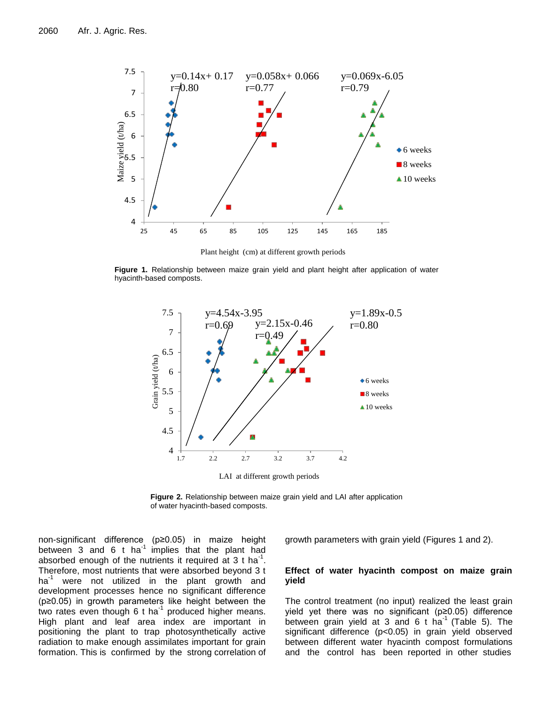

Plant height (cm) at different growth periods

**Figure 1.** Relationship between maize grain yield and plant height after application of water hyacinth-based composts.



**Figure 2.** Relationship between maize grain yield and LAI after application of water hyacinth-based composts.

non-significant difference (p≥0.05) in maize height between 3 and 6 t ha $^{-1}$  implies that the plant had absorbed enough of the nutrients it required at 3 t ha<sup>-1</sup>. Therefore, most nutrients that were absorbed beyond 3 t  $ha^{-1}$  were not utilized in the plant growth and development processes hence no significant difference (p≥0.05) in growth parameters like height between the two rates even though 6 t ha<sup>-1</sup> produced higher means. High plant and leaf area index are important in positioning the plant to trap photosynthetically active radiation to make enough assimilates important for grain formation. This is confirmed by the strong correlation of

growth parameters with grain yield (Figures 1 and 2).

## **Effect of water hyacinth compost on maize grain yield**

The control treatment (no input) realized the least grain yield yet there was no significant (p≥0.05) difference between grain yield at 3 and 6 t ha<sup>-1</sup> (Table 5). The significant difference (p<0.05) in grain yield observed between different water hyacinth compost formulations and the control has been reported in other studies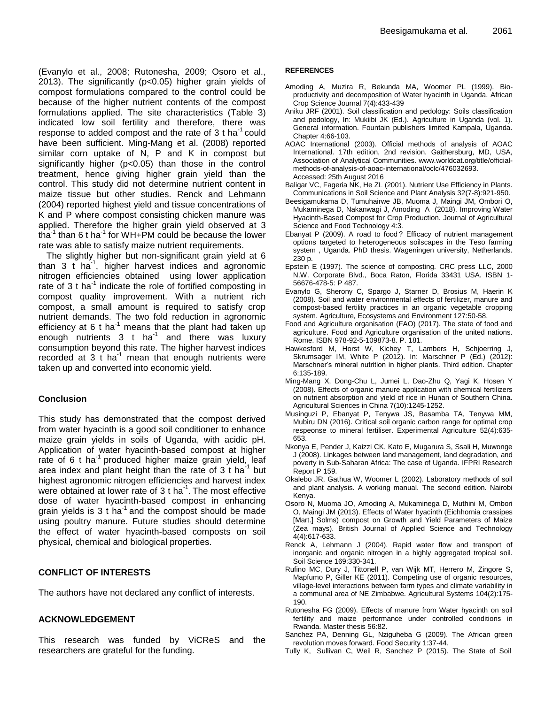(Evanylo et al., 2008; Rutonesha, 2009; Osoro et al., 2013). The significantly (p<0.05) higher grain yields of compost formulations compared to the control could be because of the higher nutrient contents of the compost formulations applied. The site characteristics (Table 3) indicated low soil fertility and therefore, there was response to added compost and the rate of  $3$  t ha<sup>-1</sup> could have been sufficient. Ming-Mang et al. (2008) reported similar corn uptake of N, P and K in compost but significantly higher (p<0.05) than those in the control treatment, hence giving higher grain yield than the control. This study did not determine nutrient content in maize tissue but other studies. Renck and Lehmann (2004) reported highest yield and tissue concentrations of K and P where compost consisting chicken manure was applied. Therefore the higher grain yield observed at 3 tha<sup>-1</sup> than 6 t ha<sup>-1</sup> for WH+PM could be because the lower rate was able to satisfy maize nutrient requirements.

The slightly higher but non-significant grain yield at 6 than  $3$  t ha<sup>-1</sup>, higher harvest indices and agronomic nitrogen efficiencies obtained using lower application rate of 3 t ha<sup>-1</sup> indicate the role of fortified composting in compost quality improvement. With a nutrient rich compost, a small amount is required to satisfy crop nutrient demands. The two fold reduction in agronomic efficiency at 6 t ha<sup>-1</sup> means that the plant had taken up enough nutrients  $3 + ha^{-1}$  and there was luxury consumption beyond this rate. The higher harvest indices recorded at 3 t ha<sup>-1</sup> mean that enough nutrients were taken up and converted into economic yield.

# **Conclusion**

This study has demonstrated that the compost derived from water hyacinth is a good soil conditioner to enhance maize grain yields in soils of Uganda, with acidic pH. Application of water hyacinth-based compost at higher rate of 6 t ha<sup>-1</sup> produced higher maize grain yield, leaf area index and plant height than the rate of  $3t$  ha<sup>-1</sup> but highest agronomic nitrogen efficiencies and harvest index were obtained at lower rate of 3 t ha<sup>-1</sup>. The most effective dose of water hyacinth-based compost in enhancing grain yields is 3 t ha<sup>-1</sup> and the compost should be made using poultry manure. Future studies should determine the effect of water hyacinth-based composts on soil physical, chemical and biological properties.

# **CONFLICT OF INTERESTS**

The authors have not declared any conflict of interests.

## **ACKNOWLEDGEMENT**

This research was funded by ViCReS and the researchers are grateful for the funding.

#### **REFERENCES**

- Amoding A, Muzira R, Bekunda MA, Woomer PL (1999). Bioproductivity and decomposition of Water hyacinth in Uganda. African Crop Science Journal 7(4):433-439
- Aniku JRF (2001). Soil classification and pedology: Soils classification and pedology, In: Mukiibi JK (Ed.). Agriculture in Uganda (vol. 1). General information. Fountain publishers limited Kampala, Uganda. Chapter 4:66-103.
- AOAC International (2003). Official methods of analysis of AOAC International. 17th edition, 2nd revision. Gaithersburg, MD, USA, Association of Analytical Communities. www.worldcat.org/title/officialmethods-of-analysis-of-aoac-international/oclc/476032693. Accessed: 25th August 2016
- Baligar VC, Fageria NK, He ZL (2001). Nutrient Use Efficiency in Plants. Communications in Soil Science and Plant Analysis 32(7-8):921-950.
- Beesigamukama D, Tumuhairwe JB, Muoma J, Maingi JM, Ombori O, Mukaminega D, Nakanwagi J, Amoding A (2018). Improving Water Hyacinth-Based Compost for Crop Production. Journal of Agricultural Science and Food Technology 4:3.
- Ebanyat P (2009). A road to food ? Efficacy of nutrient management options targeted to heterogeneous soilscapes in the Teso farming system , Uganda. PhD thesis. Wageningen university, Netherlands. 230 p.
- Epstein E (1997). The science of composting. CRC press LLC, 2000 N.W. Corporate Blvd., Boca Raton, Florida 33431 USA. ISBN 1- 56676-478-5: P 487.
- Evanylo G, Sherony C, Spargo J, Starner D, Brosius M, Haerin K (2008). Soil and water environmental effects of fertilizer, manure and compost-based fertility practices in an organic vegetable cropping system. Agriculture, Ecosystems and Environment 127:50-58.
- Food and Agriculture organisation (FAO) (2017). The state of food and agriculture. Food and Agriculture organisation of the united nations. Rome. ISBN 978-92-5-109873-8. P. 181.
- Hawkesford M, Horst W, Kichey T, Lambers H, Schjoerring J, Skrumsager IM, White P (2012). In: Marschner P (Ed.) (2012): Marschner's mineral nutrition in higher plants. Third edition. Chapter 6:135-189.
- Ming-Mang X, Dong-Chu L, Jumei L, Dao-Zhu Q, Yagi K, Hosen Y (2008). Effects of organic manure application with chemical fertilizers on nutrient absorption and yield of rice in Hunan of Southern China. Agricultural Sciences in China 7(10):1245-1252.
- Musinguzi P, Ebanyat P, Tenywa JS, Basamba TA, Tenywa MM, Mubiru DN (2016). Critical soil organic carbon range for optimal crop respeonse to mineral fertiliser. Experimental Agriculture 52(4):635- 653.
- Nkonya E, Pender J, Kaizzi CK, Kato E, Mugarura S, Ssali H, Muwonge J (2008). Linkages between land management, land degradation, and poverty in Sub-Saharan Africa: The case of Uganda. IFPRI Research Report P 159.
- Okalebo JR, Gathua W, Woomer L (2002). Laboratory methods of soil and plant analysis. A working manual. The second edition. Nairobi Kenya.
- Osoro N, Muoma JO, Amoding A, Mukaminega D, Muthini M, Ombori O, Maingi JM (2013). Effects of Water hyacinth (Eichhornia crassipes [Mart.] Solms) compost on Growth and Yield Parameters of Maize (Zea mays). British Journal of Applied Science and Technology 4(4):617-633.
- Renck A, Lehmann J (2004). Rapid water flow and transport of inorganic and organic nitrogen in a highly aggregated tropical soil. Soil Science 169:330-341.
- Rufino MC, Dury J, Tittonell P, van Wijk MT, Herrero M, Zingore S, Mapfumo P, Giller KE (2011). Competing use of organic resources, village-level interactions between farm types and climate variability in a communal area of NE Zimbabwe. Agricultural Systems 104(2):175- 190.
- Rutonesha FG (2009). Effects of manure from Water hyacinth on soil fertility and maize performance under controlled conditions in Rwanda. Master thesis 56:82.
- Sanchez PA, Denning GL, Nziguheba G (2009). The African green revolution moves forward. Food Security 1:37-44.
- Tully K, Sullivan C, Weil R, Sanchez P (2015). The State of Soil